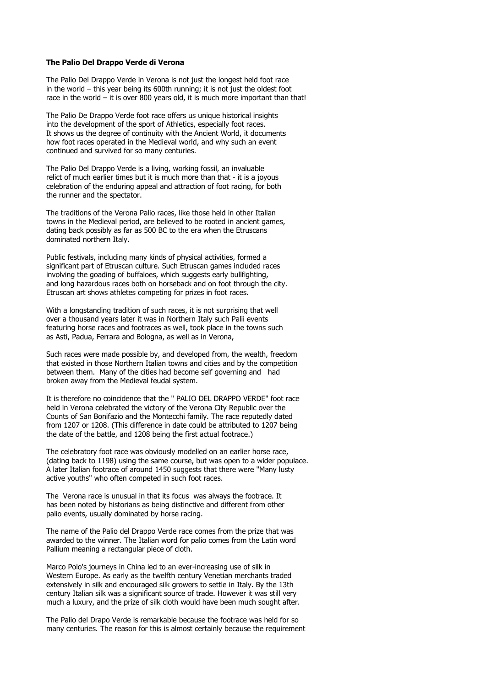## **The Palio Del Drappo Verde di Verona**

The Palio Del Drappo Verde in Verona is not just the longest held foot race in the world – this year being its 600th running; it is not just the oldest foot race in the world – it is over 800 years old, it is much more important than that!

The Palio De Drappo Verde foot race offers us unique historical insights into the development of the sport of Athletics, especially foot races. It shows us the degree of continuity with the Ancient World, it documents how foot races operated in the Medieval world, and why such an event continued and survived for so many centuries.

The Palio Del Drappo Verde is a living, working fossil, an invaluable relict of much earlier times but it is much more than that - it is a joyous celebration of the enduring appeal and attraction of foot racing, for both the runner and the spectator.

The traditions of the Verona Palio races, like those held in other Italian towns in the Medieval period, are believed to be rooted in ancient games, dating back possibly as far as 500 BC to the era when the Etruscans dominated northern Italy.

Public festivals, including many kinds of physical activities, formed a significant part of Etruscan culture. Such Etruscan games included races involving the goading of buffaloes, which suggests early bullfighting, and long hazardous races both on horseback and on foot through the city. Etruscan art shows athletes competing for prizes in foot races.

With a longstanding tradition of such races, it is not surprising that well over a thousand years later it was in Northern Italy such Palii events featuring horse races and footraces as well, took place in the towns such as Asti, Padua, Ferrara and Bologna, as well as in Verona,

Such races were made possible by, and developed from, the wealth, freedom that existed in those Northern Italian towns and cities and by the competition between them. Many of the cities had become self governing and had broken away from the Medieval feudal system.

It is therefore no coincidence that the " PALIO DEL DRAPPO VERDE" foot race held in Verona celebrated the victory of the Verona City Republic over the Counts of San Bonifazio and the Montecchi family. The race reputedly dated from 1207 or 1208. (This difference in date could be attributed to 1207 being the date of the battle, and 1208 being the first actual footrace.)

The celebratory foot race was obviously modelled on an earlier horse race, (dating back to 1198) using the same course, but was open to a wider populace. A later Italian footrace of around 1450 suggests that there were "Many lusty active youths" who often competed in such foot races.

The Verona race is unusual in that its focus was always the footrace. It has been noted by historians as being distinctive and different from other palio events, usually dominated by horse racing.

The name of the Palio del Drappo Verde race comes from the prize that was awarded to the winner. The Italian word for palio comes from the Latin word Pallium meaning a rectangular piece of cloth.

Marco Polo's journeys in China led to an ever-increasing use of silk in Western Europe. As early as the twelfth century Venetian merchants traded extensively in silk and encouraged silk growers to settle in Italy. By the 13th century Italian silk was a significant source of trade. However it was still very much a luxury, and the prize of silk cloth would have been much sought after.

The Palio del Drapo Verde is remarkable because the footrace was held for so many centuries. The reason for this is almost certainly because the requirement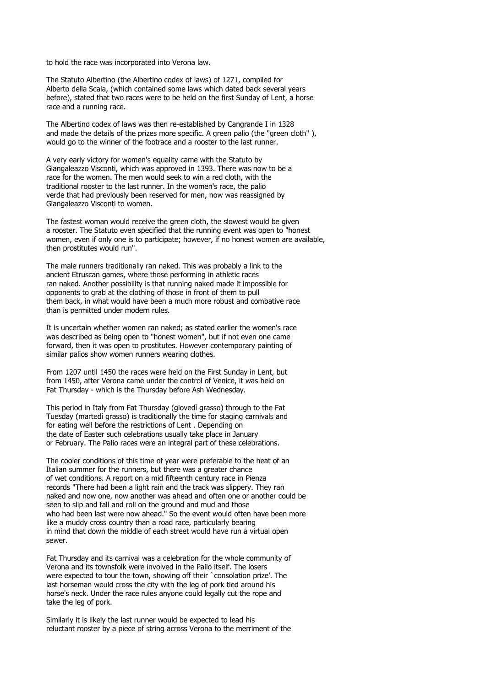to hold the race was incorporated into Verona law.

The Statuto Albertino (the Albertino codex of laws) of 1271, compiled for Alberto della Scala, (which contained some laws which dated back several years before), stated that two races were to be held on the first Sunday of Lent, a horse race and a running race.

The Albertino codex of laws was then re-established by Cangrande I in 1328 and made the details of the prizes more specific. A green palio (the "green cloth"), would go to the winner of the footrace and a rooster to the last runner.

A very early victory for women's equality came with the Statuto by Giangaleazzo Visconti, which was approved in 1393. There was now to be a race for the women. The men would seek to win a red cloth, with the traditional rooster to the last runner. In the women's race, the palio verde that had previously been reserved for men, now was reassigned by Giangaleazzo Visconti to women.

The fastest woman would receive the green cloth, the slowest would be given a rooster. The Statuto even specified that the running event was open to "honest women, even if only one is to participate; however, if no honest women are available, then prostitutes would run".

The male runners traditionally ran naked. This was probably a link to the ancient Etruscan games, where those performing in athletic races ran naked. Another possibility is that running naked made it impossible for opponents to grab at the clothing of those in front of them to pull them back, in what would have been a much more robust and combative race than is permitted under modern rules.

It is uncertain whether women ran naked; as stated earlier the women's race was described as being open to "honest women", but if not even one came forward, then it was open to prostitutes. However contemporary painting of similar palios show women runners wearing clothes.

From 1207 until 1450 the races were held on the First Sunday in Lent, but from 1450, after Verona came under the control of Venice, it was held on Fat Thursday - which is the Thursday before Ash Wednesday.

This period in Italy from Fat Thursday (giovedì grasso) through to the Fat Tuesday (martedì grasso) is traditionally the time for staging carnivals and for eating well before the restrictions of Lent . Depending on the date of Easter such celebrations usually take place in January or February. The Palio races were an integral part of these celebrations.

The cooler conditions of this time of year were preferable to the heat of an Italian summer for the runners, but there was a greater chance of wet conditions. A report on a mid fifteenth century race in Pienza records "There had been a light rain and the track was slippery. They ran naked and now one, now another was ahead and often one or another could be seen to slip and fall and roll on the ground and mud and those who had been last were now ahead." So the event would often have been more like a muddy cross country than a road race, particularly bearing in mind that down the middle of each street would have run a virtual open sewer.

Fat Thursday and its carnival was a celebration for the whole community of Verona and its townsfolk were involved in the Palio itself. The losers were expected to tour the town, showing off their `consolation prize'. The last horseman would cross the city with the leg of pork tied around his horse's neck. Under the race rules anyone could legally cut the rope and take the leg of pork.

Similarly it is likely the last runner would be expected to lead his reluctant rooster by a piece of string across Verona to the merriment of the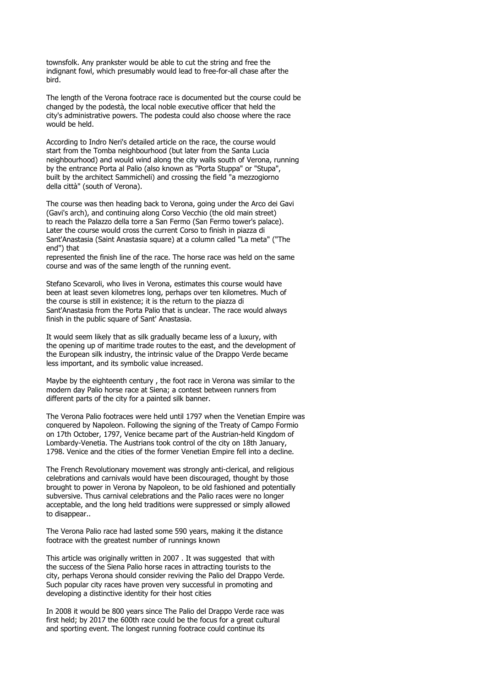townsfolk. Any prankster would be able to cut the string and free the indignant fowl, which presumably would lead to free-for-all chase after the bird.

The length of the Verona footrace race is documented but the course could be changed by the podestà, the local noble executive officer that held the city's administrative powers. The podesta could also choose where the race would be held.

According to Indro Neri's detailed article on the race, the course would start from the Tomba neighbourhood (but later from the Santa Lucia neighbourhood) and would wind along the city walls south of Verona, running by the entrance Porta al Palio (also known as "Porta Stuppa" or "Stupa", built by the architect Sammicheli) and crossing the field "a mezzogiorno della città" (south of Verona).

The course was then heading back to Verona, going under the Arco dei Gavi (Gavi's arch), and continuing along Corso Vecchio (the old main street) to reach the Palazzo della torre a San Fermo (San Fermo tower's palace). Later the course would cross the current Corso to finish in piazza di Sant'Anastasia (Saint Anastasia square) at a column called "La meta" ("The end") that

represented the finish line of the race. The horse race was held on the same course and was of the same length of the running event.

Stefano Scevaroli, who lives in Verona, estimates this course would have been at least seven kilometres long, perhaps over ten kilometres. Much of the course is still in existence; it is the return to the piazza di Sant'Anastasia from the Porta Palio that is unclear. The race would always finish in the public square of Sant' Anastasia.

It would seem likely that as silk gradually became less of a luxury, with the opening up of maritime trade routes to the east, and the development of the European silk industry, the intrinsic value of the Drappo Verde became less important, and its symbolic value increased.

Maybe by the eighteenth century , the foot race in Verona was similar to the modern day Palio horse race at Siena; a contest between runners from different parts of the city for a painted silk banner.

The Verona Palio footraces were held until 1797 when the Venetian Empire was conquered by Napoleon. Following the signing of the Treaty of Campo Formio on 17th October, 1797, Venice became part of the Austrian-held Kingdom of Lombardy-Venetia. The Austrians took control of the city on 18th January, 1798. Venice and the cities of the former Venetian Empire fell into a decline.

The French Revolutionary movement was strongly anti-clerical, and religious celebrations and carnivals would have been discouraged, thought by those brought to power in Verona by Napoleon, to be old fashioned and potentially subversive. Thus carnival celebrations and the Palio races were no longer acceptable, and the long held traditions were suppressed or simply allowed to disappear..

The Verona Palio race had lasted some 590 years, making it the distance footrace with the greatest number of runnings known

This article was originally written in 2007. It was suggested that with the success of the Siena Palio horse races in attracting tourists to the city, perhaps Verona should consider reviving the Palio del Drappo Verde. Such popular city races have proven very successful in promoting and developing a distinctive identity for their host cities

In 2008 it would be 800 years since The Palio del Drappo Verde race was first held; by 2017 the 600th race could be the focus for a great cultural and sporting event. The longest running footrace could continue its